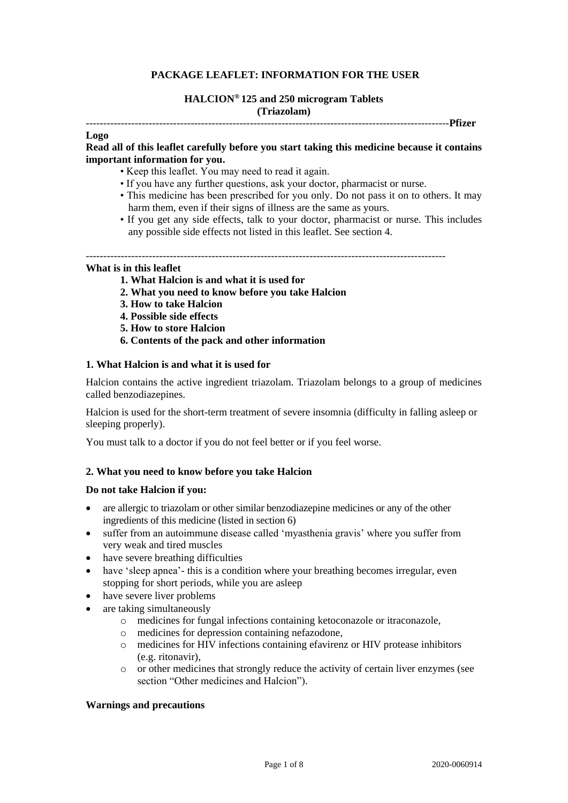# **PACKAGE LEAFLET: INFORMATION FOR THE USER**

#### **HALCION® 125 and 250 microgram Tablets (Triazolam)**

#### --------------------------------------------------------------------------------------------------------**Pfizer**

#### **Logo**

## **Read all of this leaflet carefully before you start taking this medicine because it contains important information for you.**

- Keep this leaflet. You may need to read it again.
- If you have any further questions, ask your doctor, pharmacist or nurse.
- This medicine has been prescribed for you only. Do not pass it on to others. It may harm them, even if their signs of illness are the same as yours.
- If you get any side effects, talk to your doctor, pharmacist or nurse. This includes any possible side effects not listed in this leaflet. See section 4.

## **What is in this leaflet**

- **1. What Halcion is and what it is used for**
- **2. What you need to know before you take Halcion**
- **3. How to take Halcion**
- **4. Possible side effects**
- **5. How to store Halcion**
- **6. Contents of the pack and other information**

#### **1. What Halcion is and what it is used for**

Halcion contains the active ingredient triazolam. Triazolam belongs to a group of medicines called benzodiazepines.

Halcion is used for the short-term treatment of severe insomnia (difficulty in falling asleep or sleeping properly).

You must talk to a doctor if you do not feel better or if you feel worse.

## **2. What you need to know before you take Halcion**

#### **Do not take Halcion if you:**

- are allergic to triazolam or other similar benzodiazepine medicines or any of the other ingredients of this medicine (listed in section 6)
- suffer from an autoimmune disease called 'myasthenia gravis' where you suffer from very weak and tired muscles
- have severe breathing difficulties
- have 'sleep apnea'- this is a condition where your breathing becomes irregular, even stopping for short periods, while you are asleep
- have severe liver problems
- are taking simultaneously
	- o medicines for fungal infections containing ketoconazole or itraconazole,
	- o medicines for depression containing nefazodone,
	- o medicines for HIV infections containing efavirenz or HIV protease inhibitors (e.g. ritonavir),
	- $\circ$  or other medicines that strongly reduce the activity of certain liver enzymes (see section "Other medicines and Halcion").

### **Warnings and precautions**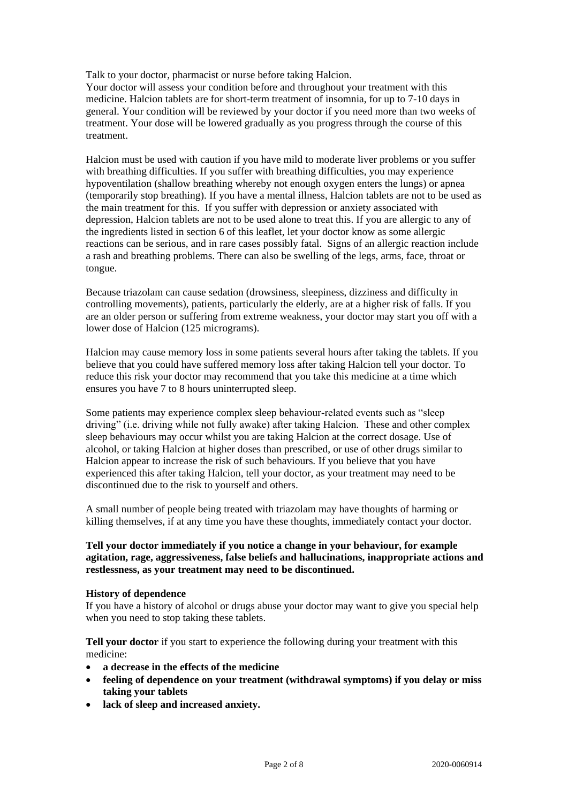Talk to your doctor, pharmacist or nurse before taking Halcion.

Your doctor will assess your condition before and throughout your treatment with this medicine. Halcion tablets are for short-term treatment of insomnia, for up to 7-10 days in general. Your condition will be reviewed by your doctor if you need more than two weeks of treatment. Your dose will be lowered gradually as you progress through the course of this treatment.

Halcion must be used with caution if you have mild to moderate liver problems or you suffer with breathing difficulties. If you suffer with breathing difficulties, you may experience hypoventilation (shallow breathing whereby not enough oxygen enters the lungs) or apnea (temporarily stop breathing). If you have a mental illness, Halcion tablets are not to be used as the main treatment for this. If you suffer with depression or anxiety associated with depression, Halcion tablets are not to be used alone to treat this. If you are allergic to any of the ingredients listed in section 6 of this leaflet, let your doctor know as some allergic reactions can be serious, and in rare cases possibly fatal. Signs of an allergic reaction include a rash and breathing problems. There can also be swelling of the legs, arms, face, throat or tongue.

Because triazolam can cause sedation (drowsiness, sleepiness, dizziness and difficulty in controlling movements), patients, particularly the elderly, are at a higher risk of falls. If you are an older person or suffering from extreme weakness, your doctor may start you off with a lower dose of Halcion (125 micrograms).

Halcion may cause memory loss in some patients several hours after taking the tablets. If you believe that you could have suffered memory loss after taking Halcion tell your doctor. To reduce this risk your doctor may recommend that you take this medicine at a time which ensures you have 7 to 8 hours uninterrupted sleep.

Some patients may experience complex sleep behaviour-related events such as "sleep driving" (i.e. driving while not fully awake) after taking Halcion. These and other complex sleep behaviours may occur whilst you are taking Halcion at the correct dosage. Use of alcohol, or taking Halcion at higher doses than prescribed, or use of other drugs similar to Halcion appear to increase the risk of such behaviours. If you believe that you have experienced this after taking Halcion, tell your doctor, as your treatment may need to be discontinued due to the risk to yourself and others.

A small number of people being treated with triazolam may have thoughts of harming or killing themselves, if at any time you have these thoughts, immediately contact your doctor.

## **Tell your doctor immediately if you notice a change in your behaviour, for example agitation, rage, aggressiveness, false beliefs and hallucinations, inappropriate actions and restlessness, as your treatment may need to be discontinued.**

## **History of dependence**

If you have a history of alcohol or drugs abuse your doctor may want to give you special help when you need to stop taking these tablets.

**Tell your doctor** if you start to experience the following during your treatment with this medicine:

- **a decrease in the effects of the medicine**
- **feeling of dependence on your treatment (withdrawal symptoms) if you delay or miss taking your tablets**
- **lack of sleep and increased anxiety.**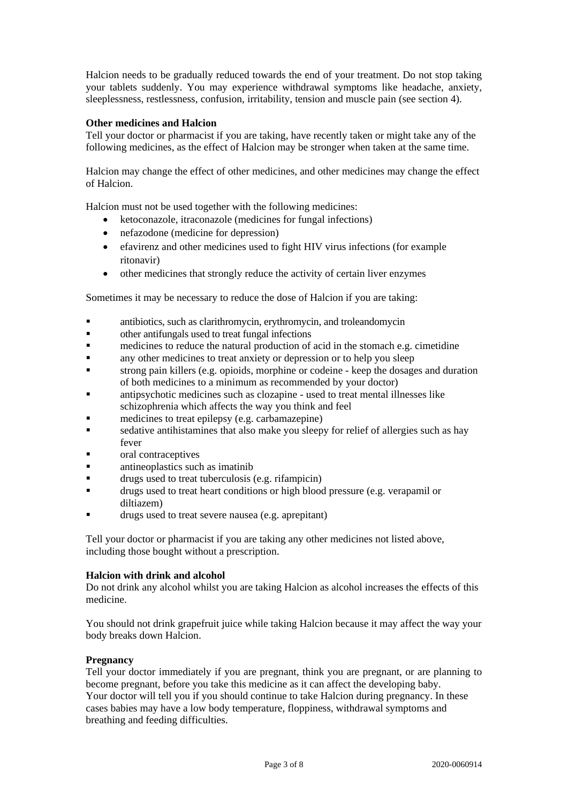Halcion needs to be gradually reduced towards the end of your treatment. Do not stop taking your tablets suddenly. You may experience withdrawal symptoms like headache, anxiety, sleeplessness, restlessness, confusion, irritability, tension and muscle pain (see section 4).

## **Other medicines and Halcion**

Tell your doctor or pharmacist if you are taking, have recently taken or might take any of the following medicines, as the effect of Halcion may be stronger when taken at the same time.

Halcion may change the effect of other medicines, and other medicines may change the effect of Halcion.

Halcion must not be used together with the following medicines:

- ketoconazole, itraconazole (medicines for fungal infections)
- nefazodone (medicine for depression)
- efavirenz and other medicines used to fight HIV virus infections (for example ritonavir)
- other medicines that strongly reduce the activity of certain liver enzymes

Sometimes it may be necessary to reduce the dose of Halcion if you are taking:

- antibiotics, such as clarithromycin, erythromycin, and troleandomycin
- other antifungals used to treat fungal infections
- medicines to reduce the natural production of acid in the stomach e.g. cimetidine
- any other medicines to treat anxiety or depression or to help you sleep
- strong pain killers (e.g. opioids, morphine or codeine keep the dosages and duration of both medicines to a minimum as recommended by your doctor)
- antipsychotic medicines such as clozapine used to treat mental illnesses like schizophrenia which affects the way you think and feel
- medicines to treat epilepsy (e.g. carbamazepine)
- sedative antihistamines that also make you sleepy for relief of allergies such as hay fever
- oral contraceptives
- antineoplastics such as imatinib
- drugs used to treat tuberculosis (e.g. rifampicin)
- drugs used to treat heart conditions or high blood pressure (e.g. verapamil or diltiazem)
- drugs used to treat severe nausea (e.g. aprepitant)

Tell your doctor or pharmacist if you are taking any other medicines not listed above, including those bought without a prescription.

## **Halcion with drink and alcohol**

Do not drink any alcohol whilst you are taking Halcion as alcohol increases the effects of this medicine.

You should not drink grapefruit juice while taking Halcion because it may affect the way your body breaks down Halcion.

#### **Pregnancy**

Tell your doctor immediately if you are pregnant, think you are pregnant, or are planning to become pregnant, before you take this medicine as it can affect the developing baby. Your doctor will tell you if you should continue to take Halcion during pregnancy. In these cases babies may have a low body temperature, floppiness, withdrawal symptoms and breathing and feeding difficulties.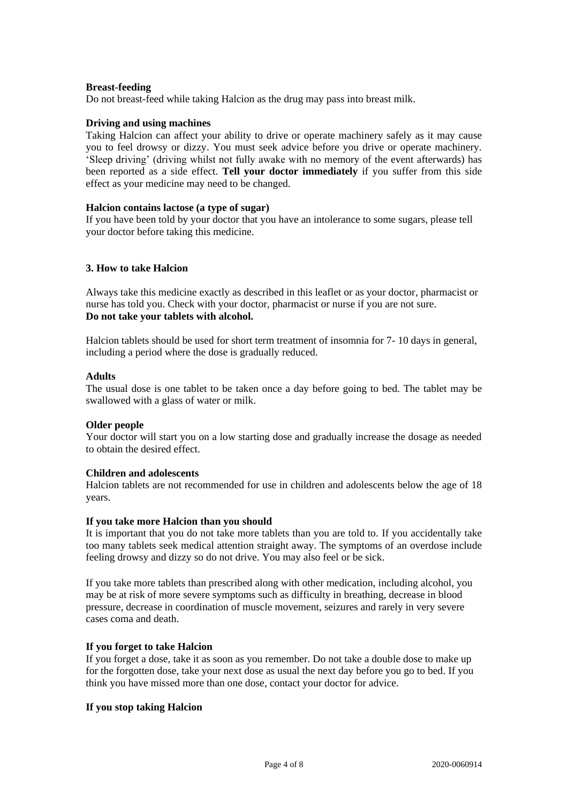### **Breast-feeding**

Do not breast-feed while taking Halcion as the drug may pass into breast milk.

### **Driving and using machines**

Taking Halcion can affect your ability to drive or operate machinery safely as it may cause you to feel drowsy or dizzy. You must seek advice before you drive or operate machinery. 'Sleep driving' (driving whilst not fully awake with no memory of the event afterwards) has been reported as a side effect. **Tell your doctor immediately** if you suffer from this side effect as your medicine may need to be changed.

### **Halcion contains lactose (a type of sugar)**

If you have been told by your doctor that you have an intolerance to some sugars, please tell your doctor before taking this medicine.

## **3. How to take Halcion**

Always take this medicine exactly as described in this leaflet or as your doctor, pharmacist or nurse has told you. Check with your doctor, pharmacist or nurse if you are not sure. **Do not take your tablets with alcohol.**

Halcion tablets should be used for short term treatment of insomnia for 7- 10 days in general, including a period where the dose is gradually reduced.

#### **Adults**

The usual dose is one tablet to be taken once a day before going to bed. The tablet may be swallowed with a glass of water or milk.

## **Older people**

Your doctor will start you on a low starting dose and gradually increase the dosage as needed to obtain the desired effect.

#### **Children and adolescents**

Halcion tablets are not recommended for use in children and adolescents below the age of 18 years.

#### **If you take more Halcion than you should**

It is important that you do not take more tablets than you are told to. If you accidentally take too many tablets seek medical attention straight away. The symptoms of an overdose include feeling drowsy and dizzy so do not drive. You may also feel or be sick.

If you take more tablets than prescribed along with other medication, including alcohol, you may be at risk of more severe symptoms such as difficulty in breathing, decrease in blood pressure, decrease in coordination of muscle movement, seizures and rarely in very severe cases coma and death.

#### **If you forget to take Halcion**

If you forget a dose, take it as soon as you remember. Do not take a double dose to make up for the forgotten dose, take your next dose as usual the next day before you go to bed. If you think you have missed more than one dose, contact your doctor for advice.

## **If you stop taking Halcion**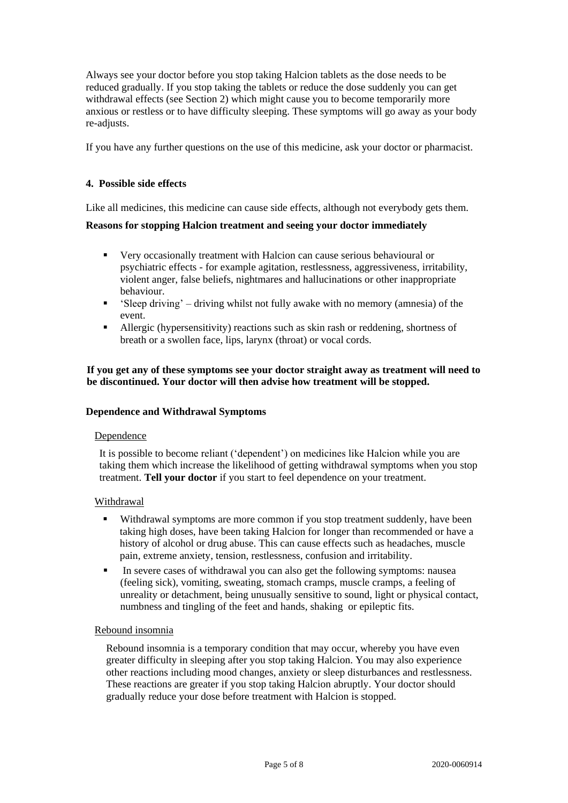Always see your doctor before you stop taking Halcion tablets as the dose needs to be reduced gradually. If you stop taking the tablets or reduce the dose suddenly you can get withdrawal effects (see Section 2) which might cause you to become temporarily more anxious or restless or to have difficulty sleeping. These symptoms will go away as your body re-adjusts.

If you have any further questions on the use of this medicine, ask your doctor or pharmacist.

## **4. Possible side effects**

Like all medicines, this medicine can cause side effects, although not everybody gets them.

### **Reasons for stopping Halcion treatment and seeing your doctor immediately**

- Very occasionally treatment with Halcion can cause serious behavioural or psychiatric effects - for example agitation, restlessness, aggressiveness, irritability, violent anger, false beliefs, nightmares and hallucinations or other inappropriate behaviour.
- 'Sleep driving' driving whilst not fully awake with no memory (amnesia) of the event.
- Allergic (hypersensitivity) reactions such as skin rash or reddening, shortness of breath or a swollen face, lips, larynx (throat) or vocal cords.

## **If you get any of these symptoms see your doctor straight away as treatment will need to be discontinued. Your doctor will then advise how treatment will be stopped.**

### **Dependence and Withdrawal Symptoms**

#### Dependence

It is possible to become reliant ('dependent') on medicines like Halcion while you are taking them which increase the likelihood of getting withdrawal symptoms when you stop treatment. **Tell your doctor** if you start to feel dependence on your treatment.

#### Withdrawal

- Withdrawal symptoms are more common if you stop treatment suddenly, have been taking high doses, have been taking Halcion for longer than recommended or have a history of alcohol or drug abuse. This can cause effects such as headaches, muscle pain, extreme anxiety, tension, restlessness, confusion and irritability.
- In severe cases of withdrawal you can also get the following symptoms: nausea (feeling sick), vomiting, sweating, stomach cramps, muscle cramps, a feeling of unreality or detachment, being unusually sensitive to sound, light or physical contact, numbness and tingling of the feet and hands, shaking or epileptic fits.

#### Rebound insomnia

Rebound insomnia is a temporary condition that may occur, whereby you have even greater difficulty in sleeping after you stop taking Halcion. You may also experience other reactions including mood changes, anxiety or sleep disturbances and restlessness. These reactions are greater if you stop taking Halcion abruptly. Your doctor should gradually reduce your dose before treatment with Halcion is stopped.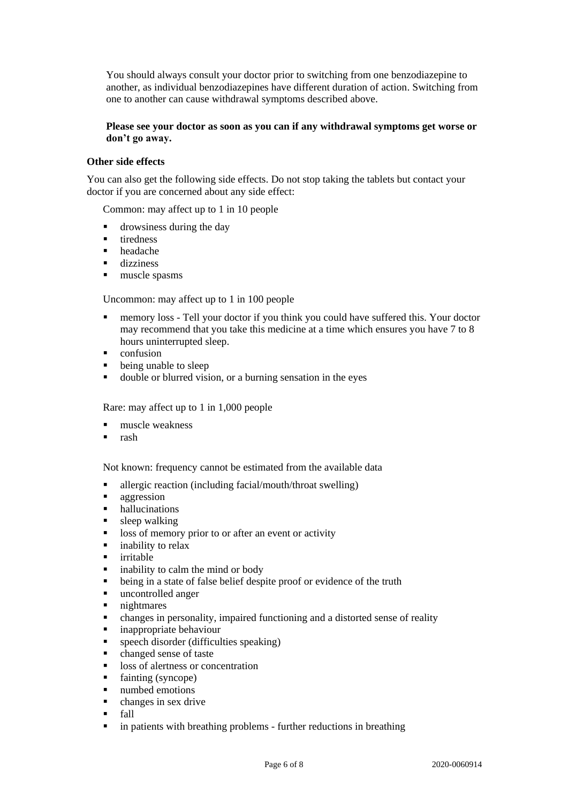You should always consult your doctor prior to switching from one benzodiazepine to another, as individual benzodiazepines have different duration of action. Switching from one to another can cause withdrawal symptoms described above.

## **Please see your doctor as soon as you can if any withdrawal symptoms get worse or don't go away.**

# **Other side effects**

You can also get the following side effects. Do not stop taking the tablets but contact your doctor if you are concerned about any side effect:

Common: may affect up to 1 in 10 people

- **drowsiness during the day**
- $\blacksquare$  tiredness
- headache
- dizziness
- $l$  muscle spasms

Uncommon: may affect up to 1 in 100 people

- memory loss Tell your doctor if you think you could have suffered this. Your doctor may recommend that you take this medicine at a time which ensures you have 7 to 8 hours uninterrupted sleep.
- $\blacksquare$  confusion
- being unable to sleep
- double or blurred vision, or a burning sensation in the eyes

Rare: may affect up to 1 in 1,000 people

- muscle weakness
- rash

Not known: frequency cannot be estimated from the available data

- allergic reaction (including facial/mouth/throat swelling)
- **aggression**
- hallucinations
- **sleep** walking
- loss of memory prior to or after an event or activity
- inability to relax
- irritable
- $\blacksquare$  inability to calm the mind or body
- being in a state of false belief despite proof or evidence of the truth
- uncontrolled anger
- nightmares
- changes in personality, impaired functioning and a distorted sense of reality
- inappropriate behaviour
- speech disorder (difficulties speaking)
- changed sense of taste
- loss of alertness or concentration
- fainting (syncope)
- numbed emotions
- changes in sex drive
- **fall**
- in patients with breathing problems further reductions in breathing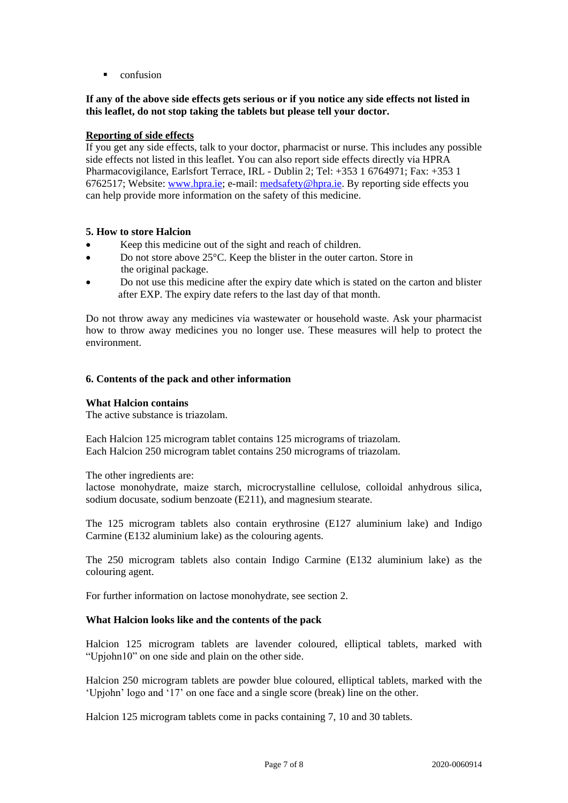**confusion** 

# **If any of the above side effects gets serious or if you notice any side effects not listed in this leaflet, do not stop taking the tablets but please tell your doctor.**

# **Reporting of side effects**

If you get any side effects, talk to your doctor, pharmacist or nurse. This includes any possible side effects not listed in this leaflet. You can also report side effects directly via HPRA Pharmacovigilance, Earlsfort Terrace, IRL - Dublin 2; Tel: +353 1 6764971; Fax: +353 1 6762517; Website: [www.hpra.ie;](http://www.hpra.ie/) e-mail: [medsafety@hpra.ie.](mailto:medsafety@hpra.ie) By reporting side effects you can help provide more information on the safety of this medicine.

# **5. How to store Halcion**

- Keep this medicine out of the sight and reach of children.
- Do not store above 25°C. Keep the blister in the outer carton. Store in the original package.
- Do not use this medicine after the expiry date which is stated on the carton and blister after EXP. The expiry date refers to the last day of that month.

Do not throw away any medicines via wastewater or household waste. Ask your pharmacist how to throw away medicines you no longer use. These measures will help to protect the environment.

# **6. Contents of the pack and other information**

## **What Halcion contains**

The active substance is triazolam.

Each Halcion 125 microgram tablet contains 125 micrograms of triazolam. Each Halcion 250 microgram tablet contains 250 micrograms of triazolam.

The other ingredients are:

lactose monohydrate, maize starch, microcrystalline cellulose, colloidal anhydrous silica, sodium docusate, sodium benzoate (E211), and magnesium stearate.

The 125 microgram tablets also contain erythrosine (E127 aluminium lake) and Indigo Carmine (E132 aluminium lake) as the colouring agents.

The 250 microgram tablets also contain Indigo Carmine (E132 aluminium lake) as the colouring agent.

For further information on lactose monohydrate, see section 2.

## **What Halcion looks like and the contents of the pack**

Halcion 125 microgram tablets are lavender coloured, elliptical tablets, marked with "Upjohn10" on one side and plain on the other side.

Halcion 250 microgram tablets are powder blue coloured, elliptical tablets, marked with the 'Upjohn' logo and '17' on one face and a single score (break) line on the other.

Halcion 125 microgram tablets come in packs containing 7, 10 and 30 tablets.